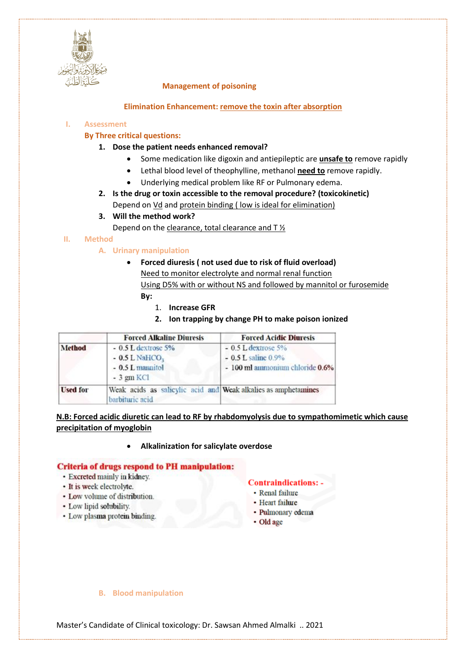

## **Management of poisoning**

## **Elimination Enhancement: remove the toxin after absorption**

## **I. Assessment**

## **By Three critical questions:**

- **1. Dose the patient needs enhanced removal?**
	- Some medication like digoxin and antiepileptic are **unsafe to** remove rapidly
	- Lethal blood level of theophylline, methanol **need to** remove rapidly.
	- Underlying medical problem like RF or Pulmonary edema.
- **2. Is the drug or toxin accessible to the removal procedure? (toxicokinetic)** Depend on Vd and protein binding ( low is ideal for elimination)
- **3. Will the method work?**
	- Depend on the clearance, total clearance and T ½

## **II. Method**

## **A. Urinary manipulation**

- **Forced diuresis ( not used due to risk of fluid overload)** Need to monitor electrolyte and normal renal function Using D5% with or without NS and followed by mannitol or furosemide **By:**
	- 1. **Increase GFR**
	- **2. Ion trapping by change PH to make poison ionized**

|                 | <b>Forced Alkaline Diuresis</b>                                                           | <b>Forced Acidic Diuresis</b>                                                      |  |
|-----------------|-------------------------------------------------------------------------------------------|------------------------------------------------------------------------------------|--|
| Method          | $-0.5$ L dextrose $5\%$<br>$-0.5$ L NaHCO <sub>3</sub><br>- 0.5 L mannitol<br>$-3$ gm KCl | $-0.5$ L dextrose 5%<br>$-0.5$ L saline $0.9\%$<br>- 100 ml annonium chloride 0.6% |  |
| <b>Used for</b> | Weak acids as salicylic acid and Weak alkalies as amphetamines<br>barbituric acid         |                                                                                    |  |

**N.B: Forced acidic diuretic can lead to RF by rhabdomyolysis due to sympathomimetic which cause precipitation of myoglobin** 

#### • **Alkalinization for salicylate overdose**

### **Criteria of drugs respond to PH manipulation:**

- · Excreted mainly in kidney.
- It is week electrolyte.
- Low volume of distribution.
- Low lipid solubility.
- · Low plasma protein binding.

#### Contraindications:

- Renal failure
- Heart failure
- · Pulmonary edema
- Old age

#### **B. Blood manipulation**

Master's Candidate of Clinical toxicology: Dr. Sawsan Ahmed Almalki .. 2021